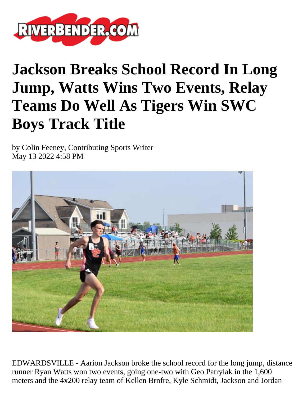

## **Jackson Breaks School Record In Long Jump, Watts Wins Two Events, Relay Teams Do Well As Tigers Win SWC Boys Track Title**

by Colin Feeney, Contributing Sports Writer May 13 2022 4:58 PM



EDWARDSVILLE - Aarion Jackson broke the school record for the long jump, distance runner Ryan Watts won two events, going one-two with Geo Patrylak in the 1,600 meters and the 4x200 relay team of Kellen Brnfre, Kyle Schmidt, Jackson and Jordan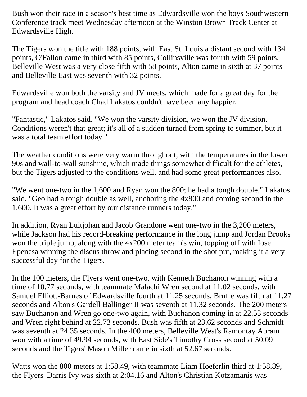Bush won their race in a season's best time as Edwardsville won the boys Southwestern Conference track meet Wednesday afternoon at the Winston Brown Track Center at Edwardsville High.

The Tigers won the title with 188 points, with East St. Louis a distant second with 134 points, O'Fallon came in third with 85 points, Collinsville was fourth with 59 points, Belleville West was a very close fifth with 58 points, Alton came in sixth at 37 points and Belleville East was seventh with 32 points.

Edwardsville won both the varsity and JV meets, which made for a great day for the program and head coach Chad Lakatos couldn't have been any happier.

"Fantastic," Lakatos said. "We won the varsity division, we won the JV division. Conditions weren't that great; it's all of a sudden turned from spring to summer, but it was a total team effort today."

The weather conditions were very warm throughout, with the temperatures in the lower 90s and wall-to-wall sunshine, which made things somewhat difficult for the athletes, but the Tigers adjusted to the conditions well, and had some great performances also.

"We went one-two in the 1,600 and Ryan won the 800; he had a tough double," Lakatos said. "Geo had a tough double as well, anchoring the 4x800 and coming second in the 1,600. It was a great effort by our distance runners today."

In addition, Ryan Luitjohan and Jacob Grandone went one-two in the 3,200 meters, while Jackson had his record-breaking performance in the long jump and Jordan Brooks won the triple jump, along with the 4x200 meter team's win, topping off with Iose Epenesa winning the discus throw and placing second in the shot put, making it a very successful day for the Tigers.

In the 100 meters, the Flyers went one-two, with Kenneth Buchanon winning with a time of 10.77 seconds, with teammate Malachi Wren second at 11.02 seconds, with Samuel Elliott-Barnes of Edwardsville fourth at 11.25 seconds, Brnfre was fifth at 11.27 seconds and Alton's Gardell Ballinger II was seventh at 11.32 seconds. The 200 meters saw Buchanon and Wren go one-two again, with Buchanon coming in at 22.53 seconds and Wren right behind at 22.73 seconds. Bush was fifth at 23.62 seconds and Schmidt was seventh at 24.35 seconds. In the 400 meters, Belleville West's Ramontay Abram won with a time of 49.94 seconds, with East Side's Timothy Cross second at 50.09 seconds and the Tigers' Mason Miller came in sixth at 52.67 seconds.

Watts won the 800 meters at 1:58.49, with teammate Liam Hoeferlin third at 1:58.89, the Flyers' Darris Ivy was sixth at 2:04.16 and Alton's Christian Kotzamanis was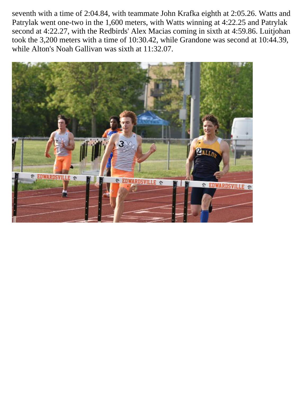seventh with a time of 2:04.84, with teammate John Krafka eighth at 2:05.26. Watts and Patrylak went one-two in the 1,600 meters, with Watts winning at 4:22.25 and Patrylak second at 4:22.27, with the Redbirds' Alex Macias coming in sixth at 4:59.86. Luitjohan took the 3,200 meters with a time of 10:30.42, while Grandone was second at 10:44.39, while Alton's Noah Gallivan was sixth at 11:32.07.

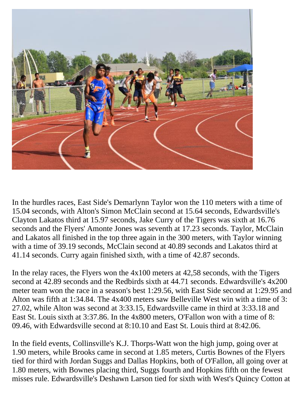

In the hurdles races, East Side's Demarlynn Taylor won the 110 meters with a time of 15.04 seconds, with Alton's Simon McClain second at 15.64 seconds, Edwardsville's Clayton Lakatos third at 15.97 seconds, Jake Curry of the Tigers was sixth at 16.76 seconds and the Flyers' Amonte Jones was seventh at 17.23 seconds. Taylor, McClain and Lakatos all finished in the top three again in the 300 meters, with Taylor winning with a time of 39.19 seconds, McClain second at 40.89 seconds and Lakatos third at 41.14 seconds. Curry again finished sixth, with a time of 42.87 seconds.

In the relay races, the Flyers won the 4x100 meters at 42,58 seconds, with the Tigers second at 42.89 seconds and the Redbirds sixth at 44.71 seconds. Edwardsville's 4x200 meter team won the race in a season's best 1:29.56, with East Side second at 1:29.95 and Alton was fifth at 1:34.84. The 4x400 meters saw Belleville West win with a time of 3: 27.02, while Alton was second at 3:33.15, Edwardsville came in third at 3:33.18 and East St. Louis sixth at 3:37.86. In the 4x800 meters, O'Fallon won with a time of 8: 09.46, with Edwardsville second at 8:10.10 and East St. Louis third at 8:42.06.

In the field events, Collinsville's K.J. Thorps-Watt won the high jump, going over at 1.90 meters, while Brooks came in second at 1.85 meters, Curtis Bownes of the Flyers tied for third with Jordan Suggs and Dallas Hopkins, both of O'Fallon, all going over at 1.80 meters, with Bownes placing third, Suggs fourth and Hopkins fifth on the fewest misses rule. Edwardsville's Deshawn Larson tied for sixth with West's Quincy Cotton at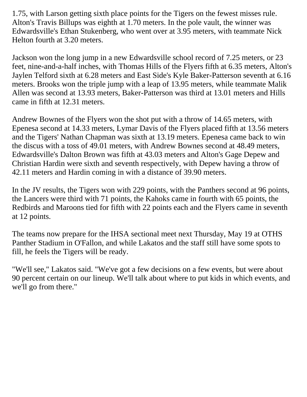1.75, with Larson getting sixth place points for the Tigers on the fewest misses rule. Alton's Travis Billups was eighth at 1.70 meters. In the pole vault, the winner was Edwardsville's Ethan Stukenberg, who went over at 3.95 meters, with teammate Nick Helton fourth at 3.20 meters.

Jackson won the long jump in a new Edwardsville school record of 7.25 meters, or 23 feet, nine-and-a-half inches, with Thomas Hills of the Flyers fifth at 6.35 meters, Alton's Jaylen Telford sixth at 6.28 meters and East Side's Kyle Baker-Patterson seventh at 6.16 meters. Brooks won the triple jump with a leap of 13.95 meters, while teammate Malik Allen was second at 13.93 meters, Baker-Patterson was third at 13.01 meters and Hills came in fifth at 12.31 meters.

Andrew Bownes of the Flyers won the shot put with a throw of 14.65 meters, with Epenesa second at 14.33 meters, Lymar Davis of the Flyers placed fifth at 13.56 meters and the Tigers' Nathan Chapman was sixth at 13.19 meters. Epenesa came back to win the discus with a toss of 49.01 meters, with Andrew Bownes second at 48.49 meters, Edwardsville's Dalton Brown was fifth at 43.03 meters and Alton's Gage Depew and Christian Hardin were sixth and seventh respectively, with Depew having a throw of 42.11 meters and Hardin coming in with a distance of 39.90 meters.

In the JV results, the Tigers won with 229 points, with the Panthers second at 96 points, the Lancers were third with 71 points, the Kahoks came in fourth with 65 points, the Redbirds and Maroons tied for fifth with 22 points each and the Flyers came in seventh at 12 points.

The teams now prepare for the IHSA sectional meet next Thursday, May 19 at OTHS Panther Stadium in O'Fallon, and while Lakatos and the staff still have some spots to fill, he feels the Tigers will be ready.

"We'll see," Lakatos said. "We've got a few decisions on a few events, but were about 90 percent certain on our lineup. We'll talk about where to put kids in which events, and we'll go from there."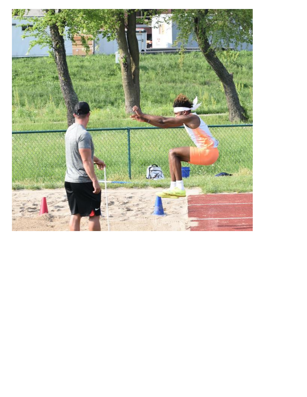